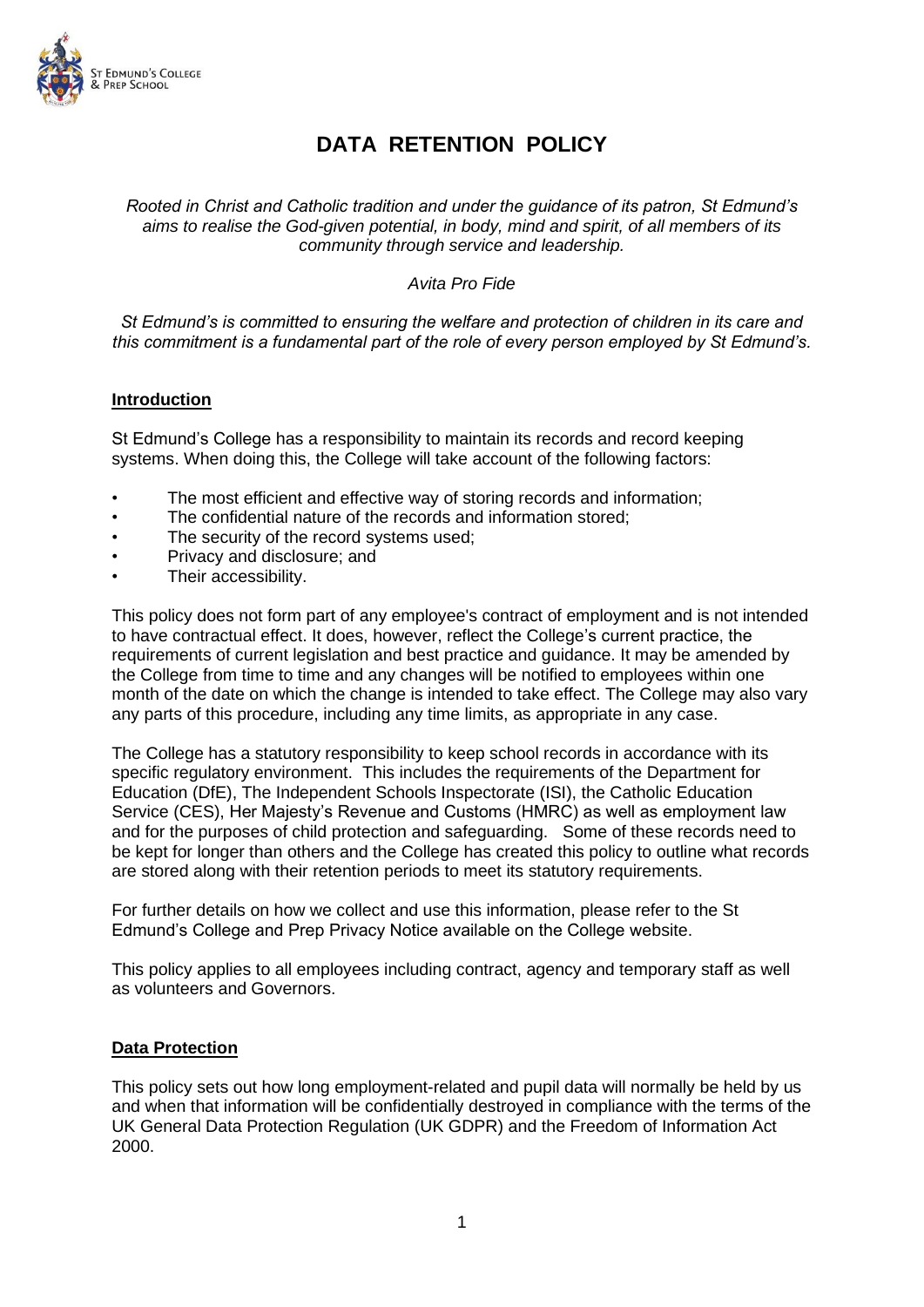

# **DATA RETENTION POLICY**

*Rooted in Christ and Catholic tradition and under the guidance of its patron, St Edmund's aims to realise the God-given potential, in body, mind and spirit, of all members of its community through service and leadership.*

## *Avita Pro Fide*

*St Edmund's is committed to ensuring the welfare and protection of children in its care and this commitment is a fundamental part of the role of every person employed by St Edmund's.*

## **Introduction**

St Edmund's College has a responsibility to maintain its records and record keeping systems. When doing this, the College will take account of the following factors:

- The most efficient and effective way of storing records and information;
- The confidential nature of the records and information stored;
- The security of the record systems used;
- Privacy and disclosure; and
- Their accessibility.

This policy does not form part of any employee's contract of employment and is not intended to have contractual effect. It does, however, reflect the College's current practice, the requirements of current legislation and best practice and guidance. It may be amended by the College from time to time and any changes will be notified to employees within one month of the date on which the change is intended to take effect. The College may also vary any parts of this procedure, including any time limits, as appropriate in any case.

The College has a statutory responsibility to keep school records in accordance with its specific regulatory environment. This includes the requirements of the Department for Education (DfE), The Independent Schools Inspectorate (ISI), the Catholic Education Service (CES), Her Majesty's Revenue and Customs (HMRC) as well as employment law and for the purposes of child protection and safeguarding. Some of these records need to be kept for longer than others and the College has created this policy to outline what records are stored along with their retention periods to meet its statutory requirements.

For further details on how we collect and use this information, please refer to the St Edmund's College and Prep Privacy Notice available on the College website.

This policy applies to all employees including contract, agency and temporary staff as well as volunteers and Governors.

## **Data Protection**

This policy sets out how long employment-related and pupil data will normally be held by us and when that information will be confidentially destroyed in compliance with the terms of the UK General Data Protection Regulation (UK GDPR) and the Freedom of Information Act 2000.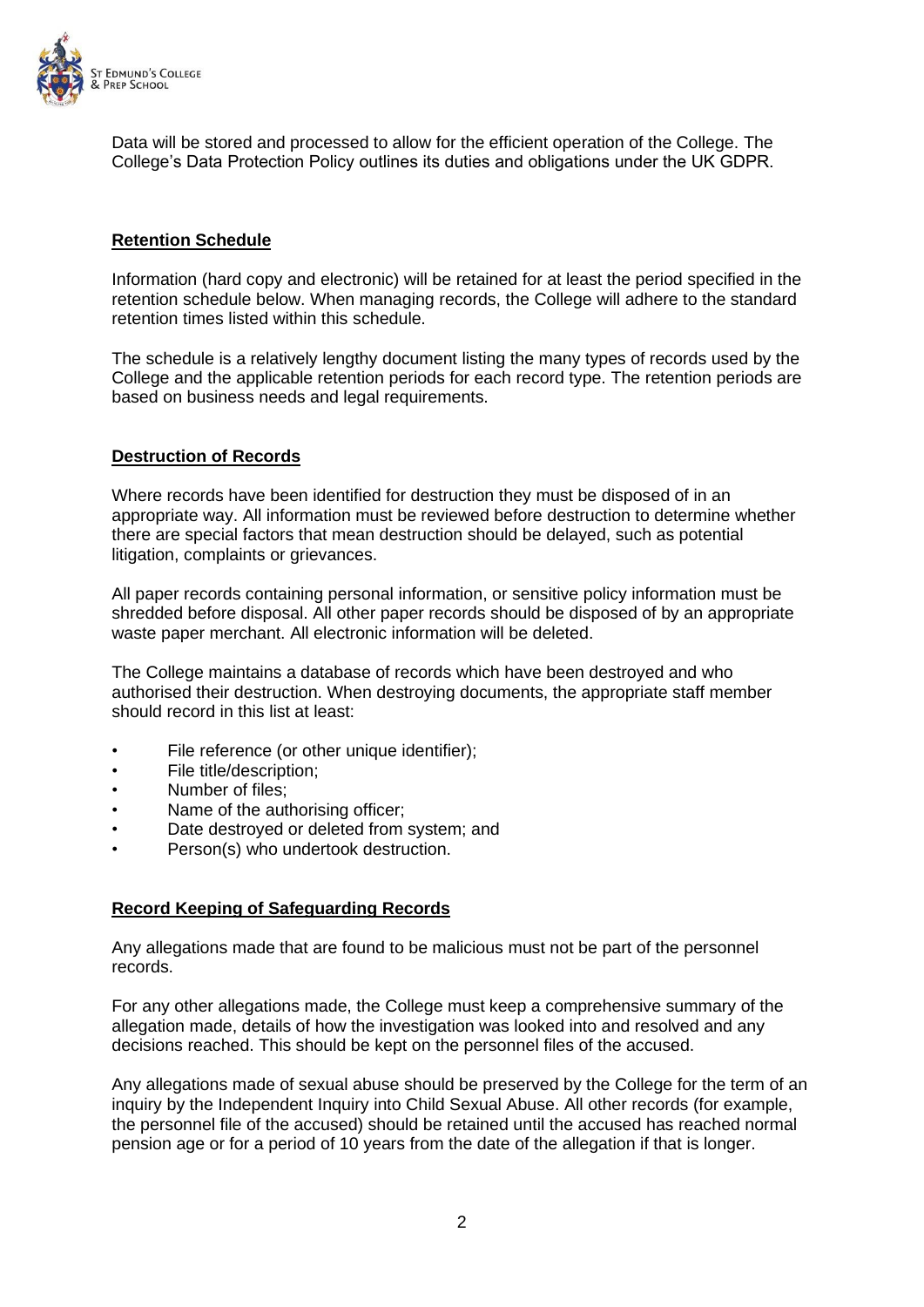

Data will be stored and processed to allow for the efficient operation of the College. The College's Data Protection Policy outlines its duties and obligations under the UK GDPR.

## **Retention Schedule**

Information (hard copy and electronic) will be retained for at least the period specified in the retention schedule below. When managing records, the College will adhere to the standard retention times listed within this schedule.

The schedule is a relatively lengthy document listing the many types of records used by the College and the applicable retention periods for each record type. The retention periods are based on business needs and legal requirements.

## **Destruction of Records**

Where records have been identified for destruction they must be disposed of in an appropriate way. All information must be reviewed before destruction to determine whether there are special factors that mean destruction should be delayed, such as potential litigation, complaints or grievances.

All paper records containing personal information, or sensitive policy information must be shredded before disposal. All other paper records should be disposed of by an appropriate waste paper merchant. All electronic information will be deleted.

The College maintains a database of records which have been destroyed and who authorised their destruction. When destroying documents, the appropriate staff member should record in this list at least:

- File reference (or other unique identifier);
- File title/description;
- Number of files:
- Name of the authorising officer:
- Date destroyed or deleted from system; and
- Person(s) who undertook destruction.

## **Record Keeping of Safeguarding Records**

Any allegations made that are found to be malicious must not be part of the personnel records.

For any other allegations made, the College must keep a comprehensive summary of the allegation made, details of how the investigation was looked into and resolved and any decisions reached. This should be kept on the personnel files of the accused.

Any allegations made of sexual abuse should be preserved by the College for the term of an inquiry by the Independent Inquiry into Child Sexual Abuse. All other records (for example, the personnel file of the accused) should be retained until the accused has reached normal pension age or for a period of 10 years from the date of the allegation if that is longer.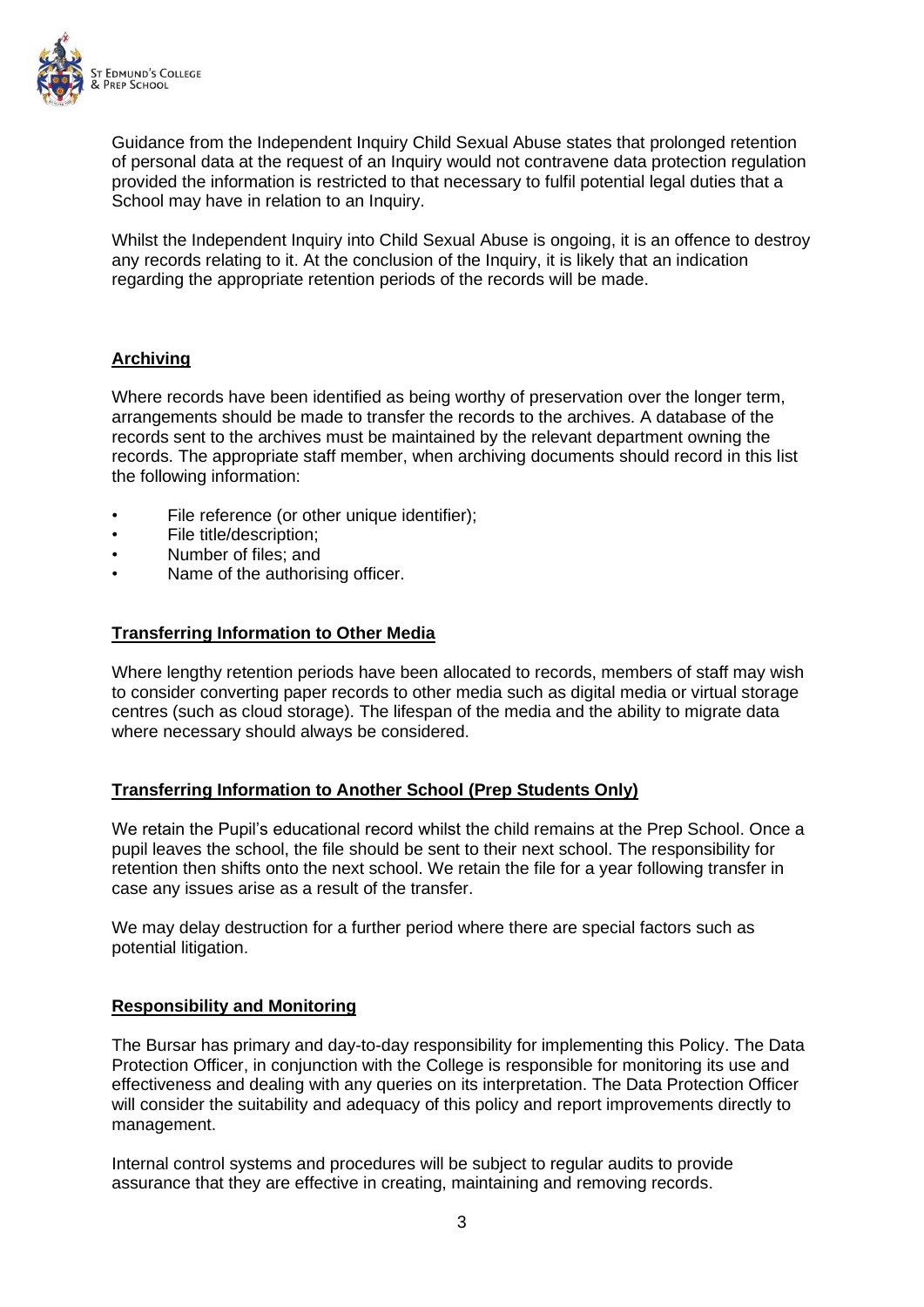

Guidance from the Independent Inquiry Child Sexual Abuse states that prolonged retention of personal data at the request of an Inquiry would not contravene data protection regulation provided the information is restricted to that necessary to fulfil potential legal duties that a School may have in relation to an Inquiry.

Whilst the Independent Inquiry into Child Sexual Abuse is ongoing, it is an offence to destroy any records relating to it. At the conclusion of the Inquiry, it is likely that an indication regarding the appropriate retention periods of the records will be made.

## **Archiving**

Where records have been identified as being worthy of preservation over the longer term, arrangements should be made to transfer the records to the archives. A database of the records sent to the archives must be maintained by the relevant department owning the records. The appropriate staff member, when archiving documents should record in this list the following information:

- File reference (or other unique identifier);
- File title/description;
- Number of files; and
- Name of the authorising officer.

#### **Transferring Information to Other Media**

Where lengthy retention periods have been allocated to records, members of staff may wish to consider converting paper records to other media such as digital media or virtual storage centres (such as cloud storage). The lifespan of the media and the ability to migrate data where necessary should always be considered.

#### **Transferring Information to Another School (Prep Students Only)**

We retain the Pupil's educational record whilst the child remains at the Prep School. Once a pupil leaves the school, the file should be sent to their next school. The responsibility for retention then shifts onto the next school. We retain the file for a year following transfer in case any issues arise as a result of the transfer.

We may delay destruction for a further period where there are special factors such as potential litigation.

#### **Responsibility and Monitoring**

The Bursar has primary and day-to-day responsibility for implementing this Policy. The Data Protection Officer, in conjunction with the College is responsible for monitoring its use and effectiveness and dealing with any queries on its interpretation. The Data Protection Officer will consider the suitability and adequacy of this policy and report improvements directly to management.

Internal control systems and procedures will be subject to regular audits to provide assurance that they are effective in creating, maintaining and removing records.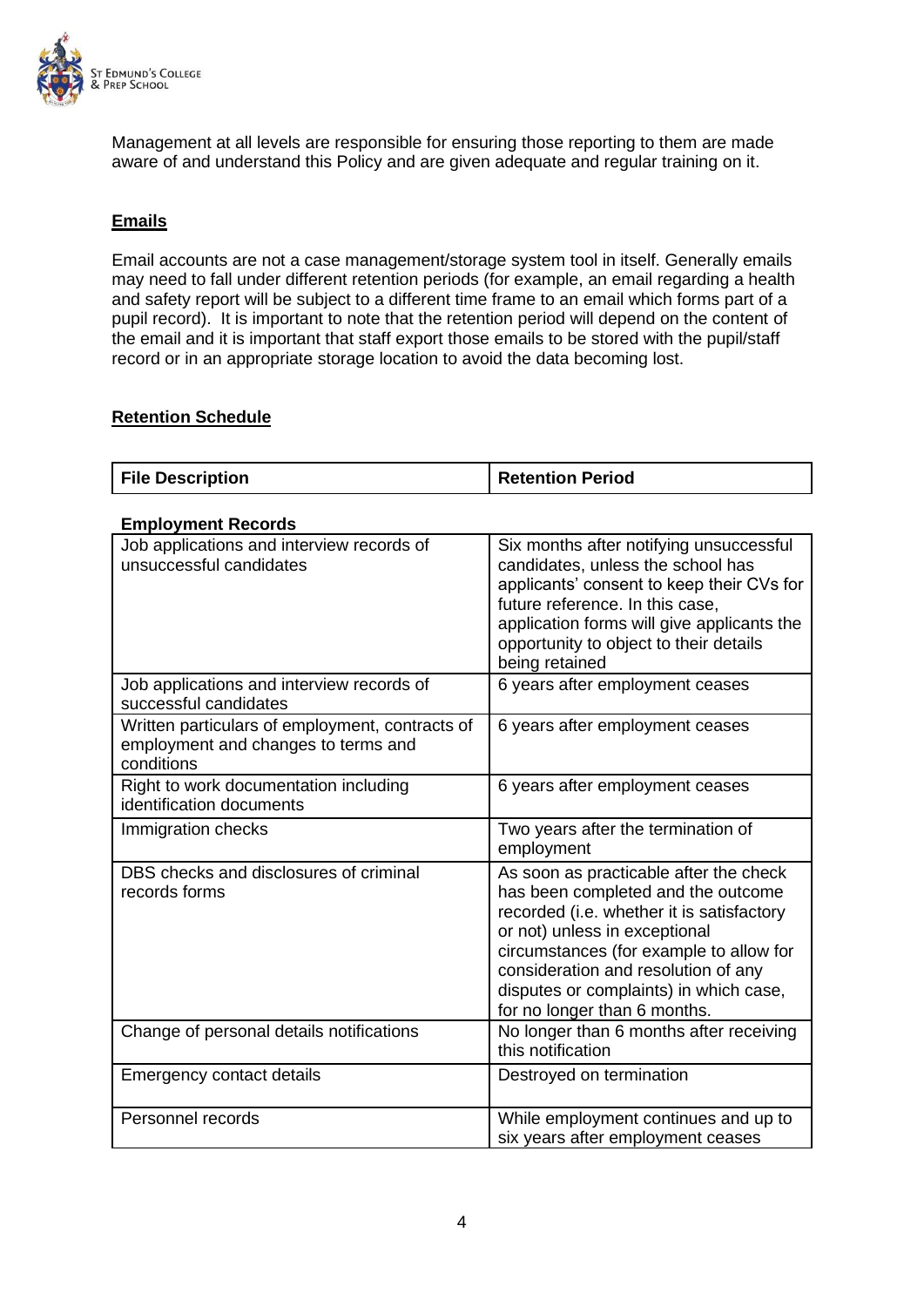

Management at all levels are responsible for ensuring those reporting to them are made aware of and understand this Policy and are given adequate and regular training on it.

## **Emails**

Email accounts are not a case management/storage system tool in itself. Generally emails may need to fall under different retention periods (for example, an email regarding a health and safety report will be subject to a different time frame to an email which forms part of a pupil record). It is important to note that the retention period will depend on the content of the email and it is important that staff export those emails to be stored with the pupil/staff record or in an appropriate storage location to avoid the data becoming lost.

## **Retention Schedule**

| <b>File Description</b> | <b>Retention Period</b> |
|-------------------------|-------------------------|
|                         |                         |

| <b>Employment Records</b>                                                                            |                                                                                                                                                                                                                                                                                                                        |
|------------------------------------------------------------------------------------------------------|------------------------------------------------------------------------------------------------------------------------------------------------------------------------------------------------------------------------------------------------------------------------------------------------------------------------|
| Job applications and interview records of<br>unsuccessful candidates                                 | Six months after notifying unsuccessful<br>candidates, unless the school has<br>applicants' consent to keep their CVs for<br>future reference. In this case,<br>application forms will give applicants the<br>opportunity to object to their details<br>being retained                                                 |
| Job applications and interview records of<br>successful candidates                                   | 6 years after employment ceases                                                                                                                                                                                                                                                                                        |
| Written particulars of employment, contracts of<br>employment and changes to terms and<br>conditions | 6 years after employment ceases                                                                                                                                                                                                                                                                                        |
| Right to work documentation including<br>identification documents                                    | 6 years after employment ceases                                                                                                                                                                                                                                                                                        |
| Immigration checks                                                                                   | Two years after the termination of<br>employment                                                                                                                                                                                                                                                                       |
| DBS checks and disclosures of criminal<br>records forms                                              | As soon as practicable after the check<br>has been completed and the outcome<br>recorded (i.e. whether it is satisfactory<br>or not) unless in exceptional<br>circumstances (for example to allow for<br>consideration and resolution of any<br>disputes or complaints) in which case,<br>for no longer than 6 months. |
| Change of personal details notifications                                                             | No longer than 6 months after receiving<br>this notification                                                                                                                                                                                                                                                           |
| <b>Emergency contact details</b>                                                                     | Destroyed on termination                                                                                                                                                                                                                                                                                               |
| Personnel records                                                                                    | While employment continues and up to<br>six years after employment ceases                                                                                                                                                                                                                                              |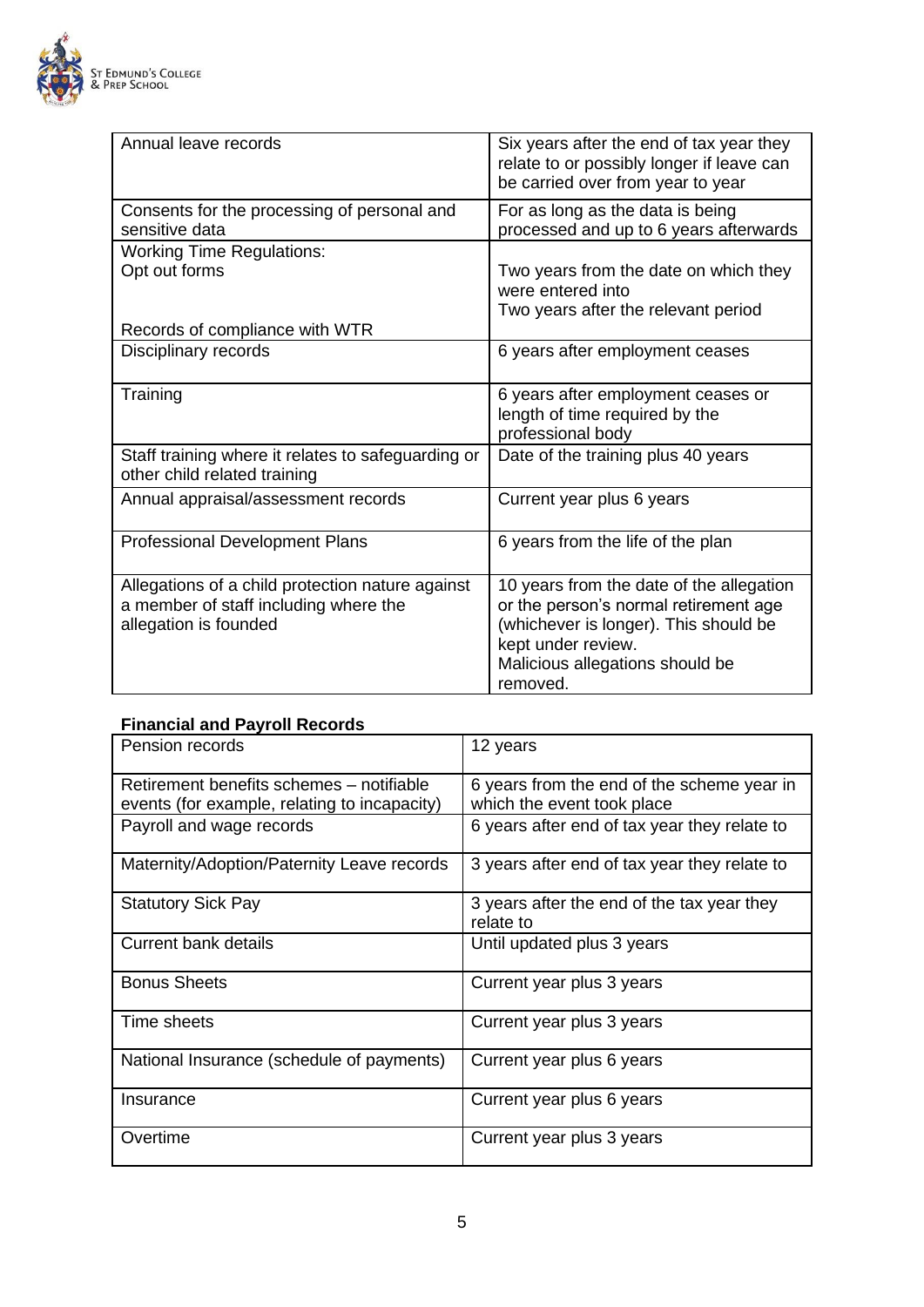

| Annual leave records                                                                                               | Six years after the end of tax year they<br>relate to or possibly longer if leave can<br>be carried over from year to year                                                                      |
|--------------------------------------------------------------------------------------------------------------------|-------------------------------------------------------------------------------------------------------------------------------------------------------------------------------------------------|
| Consents for the processing of personal and<br>sensitive data                                                      | For as long as the data is being<br>processed and up to 6 years afterwards                                                                                                                      |
| <b>Working Time Regulations:</b>                                                                                   |                                                                                                                                                                                                 |
| Opt out forms                                                                                                      | Two years from the date on which they<br>were entered into<br>Two years after the relevant period                                                                                               |
| Records of compliance with WTR                                                                                     |                                                                                                                                                                                                 |
| Disciplinary records                                                                                               | 6 years after employment ceases                                                                                                                                                                 |
| Training                                                                                                           | 6 years after employment ceases or<br>length of time required by the<br>professional body                                                                                                       |
| Staff training where it relates to safeguarding or<br>other child related training                                 | Date of the training plus 40 years                                                                                                                                                              |
| Annual appraisal/assessment records                                                                                | Current year plus 6 years                                                                                                                                                                       |
| <b>Professional Development Plans</b>                                                                              | 6 years from the life of the plan                                                                                                                                                               |
| Allegations of a child protection nature against<br>a member of staff including where the<br>allegation is founded | 10 years from the date of the allegation<br>or the person's normal retirement age<br>(whichever is longer). This should be<br>kept under review.<br>Malicious allegations should be<br>removed. |

## **Financial and Payroll Records**

| Pension records                                                                          | 12 years                                                                 |
|------------------------------------------------------------------------------------------|--------------------------------------------------------------------------|
| Retirement benefits schemes - notifiable<br>events (for example, relating to incapacity) | 6 years from the end of the scheme year in<br>which the event took place |
| Payroll and wage records                                                                 | 6 years after end of tax year they relate to                             |
| Maternity/Adoption/Paternity Leave records                                               | 3 years after end of tax year they relate to                             |
| <b>Statutory Sick Pay</b>                                                                | 3 years after the end of the tax year they<br>relate to                  |
| Current bank details                                                                     | Until updated plus 3 years                                               |
| <b>Bonus Sheets</b>                                                                      | Current year plus 3 years                                                |
| Time sheets                                                                              | Current year plus 3 years                                                |
| National Insurance (schedule of payments)                                                | Current year plus 6 years                                                |
| Insurance                                                                                | Current year plus 6 years                                                |
| Overtime                                                                                 | Current year plus 3 years                                                |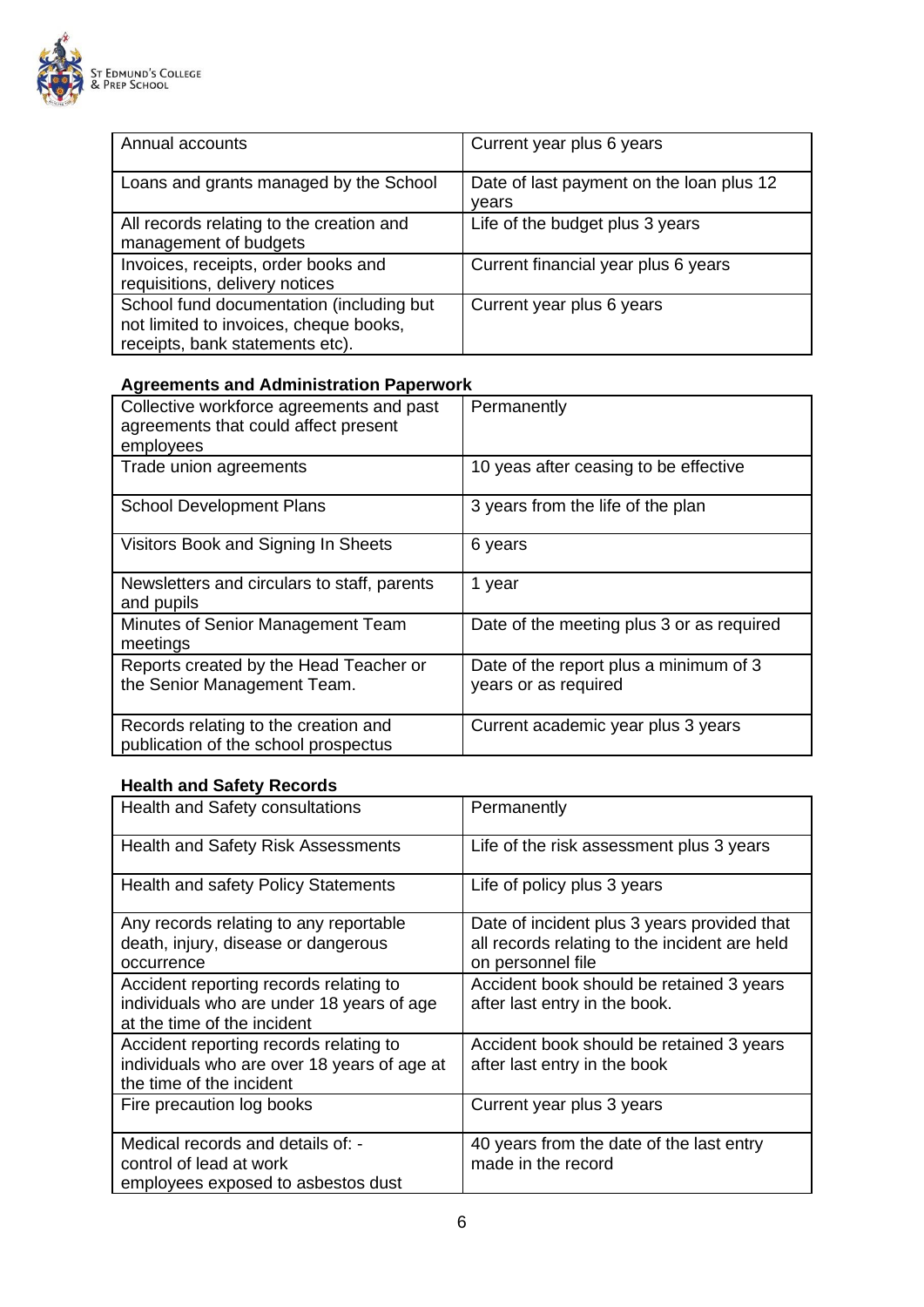

| Annual accounts                                                                                                       | Current year plus 6 years                         |
|-----------------------------------------------------------------------------------------------------------------------|---------------------------------------------------|
| Loans and grants managed by the School                                                                                | Date of last payment on the loan plus 12<br>vears |
| All records relating to the creation and<br>management of budgets                                                     | Life of the budget plus 3 years                   |
| Invoices, receipts, order books and<br>requisitions, delivery notices                                                 | Current financial year plus 6 years               |
| School fund documentation (including but<br>not limited to invoices, cheque books,<br>receipts, bank statements etc). | Current year plus 6 years                         |

## **Agreements and Administration Paperwork**

| Collective workforce agreements and past<br>agreements that could affect present<br>employees | Permanently                                                    |
|-----------------------------------------------------------------------------------------------|----------------------------------------------------------------|
| Trade union agreements                                                                        | 10 yeas after ceasing to be effective                          |
| <b>School Development Plans</b>                                                               | 3 years from the life of the plan                              |
| Visitors Book and Signing In Sheets                                                           | 6 years                                                        |
| Newsletters and circulars to staff, parents<br>and pupils                                     | 1 year                                                         |
| Minutes of Senior Management Team<br>meetings                                                 | Date of the meeting plus 3 or as required                      |
| Reports created by the Head Teacher or<br>the Senior Management Team.                         | Date of the report plus a minimum of 3<br>years or as required |
| Records relating to the creation and<br>publication of the school prospectus                  | Current academic year plus 3 years                             |

# **Health and Safety Records**

| Health and Safety consultations                                                                                    | Permanently                                                                                                       |
|--------------------------------------------------------------------------------------------------------------------|-------------------------------------------------------------------------------------------------------------------|
| <b>Health and Safety Risk Assessments</b>                                                                          | Life of the risk assessment plus 3 years                                                                          |
| <b>Health and safety Policy Statements</b>                                                                         | Life of policy plus 3 years                                                                                       |
| Any records relating to any reportable<br>death, injury, disease or dangerous<br>occurrence                        | Date of incident plus 3 years provided that<br>all records relating to the incident are held<br>on personnel file |
| Accident reporting records relating to<br>individuals who are under 18 years of age<br>at the time of the incident | Accident book should be retained 3 years<br>after last entry in the book.                                         |
| Accident reporting records relating to<br>individuals who are over 18 years of age at<br>the time of the incident  | Accident book should be retained 3 years<br>after last entry in the book                                          |
| Fire precaution log books                                                                                          | Current year plus 3 years                                                                                         |
| Medical records and details of: -<br>control of lead at work<br>employees exposed to asbestos dust                 | 40 years from the date of the last entry<br>made in the record                                                    |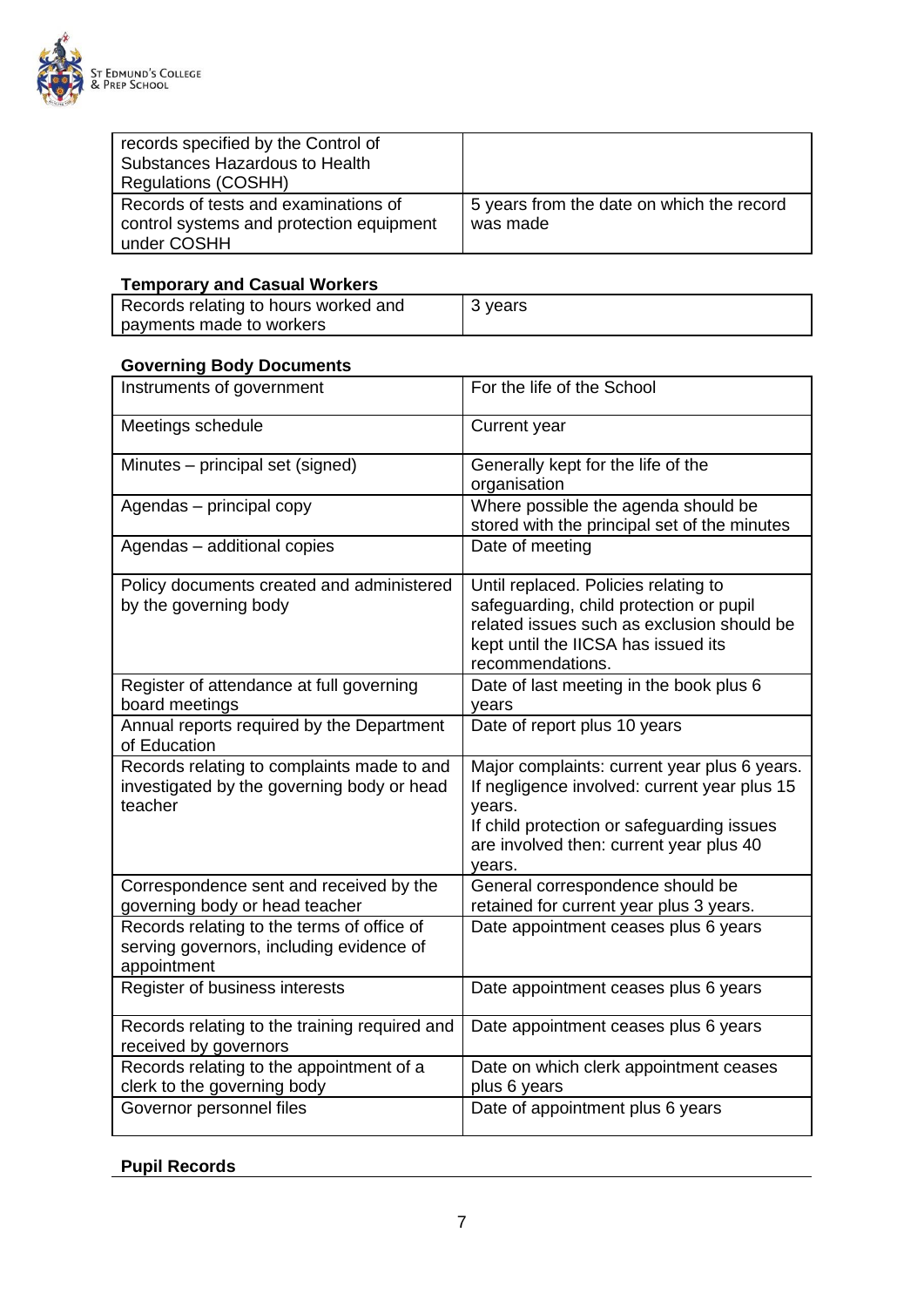

| records specified by the Control of      |                                           |
|------------------------------------------|-------------------------------------------|
| Substances Hazardous to Health           |                                           |
| Regulations (COSHH)                      |                                           |
| Records of tests and examinations of     | 5 years from the date on which the record |
| control systems and protection equipment | was made                                  |
| under COSHH                              |                                           |

## **Temporary and Casual Workers**

| Records relating to hours worked and | 3 years |
|--------------------------------------|---------|
| payments made to workers             |         |

## **Governing Body Documents**

| Instruments of government                                                                             | For the life of the School                                                                                                                                                                                |
|-------------------------------------------------------------------------------------------------------|-----------------------------------------------------------------------------------------------------------------------------------------------------------------------------------------------------------|
| Meetings schedule                                                                                     | Current year                                                                                                                                                                                              |
| Minutes – principal set (signed)                                                                      | Generally kept for the life of the<br>organisation                                                                                                                                                        |
| Agendas - principal copy                                                                              | Where possible the agenda should be<br>stored with the principal set of the minutes                                                                                                                       |
| Agendas - additional copies                                                                           | Date of meeting                                                                                                                                                                                           |
| Policy documents created and administered<br>by the governing body                                    | Until replaced. Policies relating to<br>safeguarding, child protection or pupil<br>related issues such as exclusion should be<br>kept until the IICSA has issued its<br>recommendations.                  |
| Register of attendance at full governing<br>board meetings                                            | Date of last meeting in the book plus 6<br>years                                                                                                                                                          |
| Annual reports required by the Department<br>of Education                                             | Date of report plus 10 years                                                                                                                                                                              |
| Records relating to complaints made to and<br>investigated by the governing body or head<br>teacher   | Major complaints: current year plus 6 years.<br>If negligence involved: current year plus 15<br>years.<br>If child protection or safeguarding issues<br>are involved then: current year plus 40<br>years. |
| Correspondence sent and received by the<br>governing body or head teacher                             | General correspondence should be<br>retained for current year plus 3 years.                                                                                                                               |
| Records relating to the terms of office of<br>serving governors, including evidence of<br>appointment | Date appointment ceases plus 6 years                                                                                                                                                                      |
| Register of business interests                                                                        | Date appointment ceases plus 6 years                                                                                                                                                                      |
| Records relating to the training required and<br>received by governors                                | Date appointment ceases plus 6 years                                                                                                                                                                      |
| Records relating to the appointment of a<br>clerk to the governing body                               | Date on which clerk appointment ceases<br>plus 6 years                                                                                                                                                    |
| Governor personnel files                                                                              | Date of appointment plus 6 years                                                                                                                                                                          |

## **Pupil Records**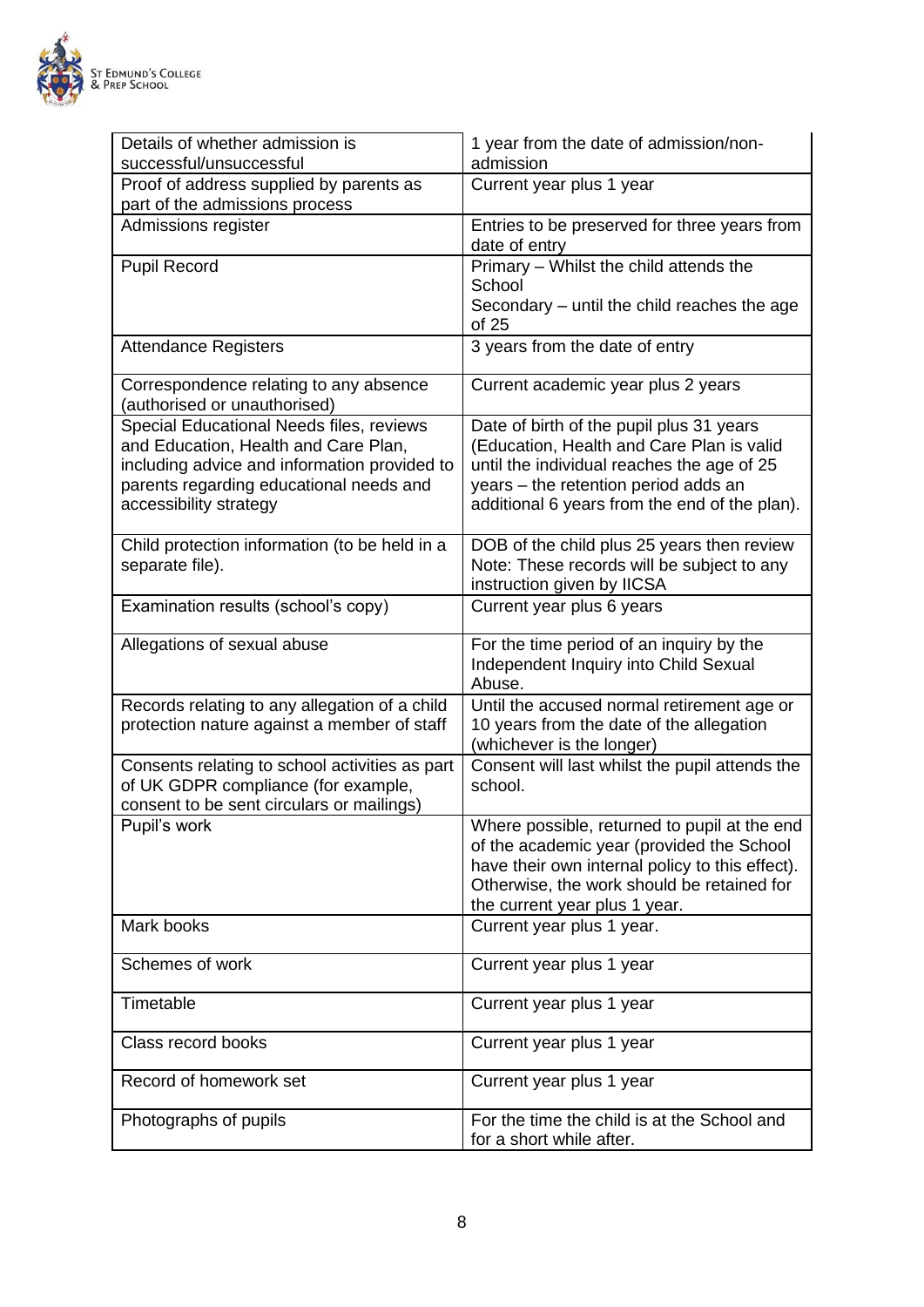

| Details of whether admission is<br>successful/unsuccessful                                                                                                                                            | 1 year from the date of admission/non-<br>admission                                                                                                                                                                          |
|-------------------------------------------------------------------------------------------------------------------------------------------------------------------------------------------------------|------------------------------------------------------------------------------------------------------------------------------------------------------------------------------------------------------------------------------|
| Proof of address supplied by parents as<br>part of the admissions process                                                                                                                             | Current year plus 1 year                                                                                                                                                                                                     |
| Admissions register                                                                                                                                                                                   | Entries to be preserved for three years from<br>date of entry                                                                                                                                                                |
| <b>Pupil Record</b>                                                                                                                                                                                   | Primary - Whilst the child attends the<br>School<br>Secondary – until the child reaches the age<br>of 25                                                                                                                     |
| <b>Attendance Registers</b>                                                                                                                                                                           | 3 years from the date of entry                                                                                                                                                                                               |
| Correspondence relating to any absence<br>(authorised or unauthorised)                                                                                                                                | Current academic year plus 2 years                                                                                                                                                                                           |
| Special Educational Needs files, reviews<br>and Education, Health and Care Plan,<br>including advice and information provided to<br>parents regarding educational needs and<br>accessibility strategy | Date of birth of the pupil plus 31 years<br>(Education, Health and Care Plan is valid<br>until the individual reaches the age of 25<br>years - the retention period adds an<br>additional 6 years from the end of the plan). |
| Child protection information (to be held in a<br>separate file).                                                                                                                                      | DOB of the child plus 25 years then review<br>Note: These records will be subject to any<br>instruction given by IICSA                                                                                                       |
| Examination results (school's copy)                                                                                                                                                                   | Current year plus 6 years                                                                                                                                                                                                    |
| Allegations of sexual abuse                                                                                                                                                                           | For the time period of an inquiry by the<br>Independent Inquiry into Child Sexual<br>Abuse.                                                                                                                                  |
| Records relating to any allegation of a child<br>protection nature against a member of staff                                                                                                          | Until the accused normal retirement age or<br>10 years from the date of the allegation<br>(whichever is the longer)                                                                                                          |
| Consents relating to school activities as part<br>of UK GDPR compliance (for example,<br>consent to be sent circulars or mailings)                                                                    | Consent will last whilst the pupil attends the<br>school.                                                                                                                                                                    |
| Pupil's work                                                                                                                                                                                          | Where possible, returned to pupil at the end<br>of the academic year (provided the School<br>have their own internal policy to this effect).<br>Otherwise, the work should be retained for<br>the current year plus 1 year.  |
| Mark books                                                                                                                                                                                            | Current year plus 1 year.                                                                                                                                                                                                    |
| Schemes of work                                                                                                                                                                                       | Current year plus 1 year                                                                                                                                                                                                     |
| Timetable                                                                                                                                                                                             | Current year plus 1 year                                                                                                                                                                                                     |
| Class record books                                                                                                                                                                                    | Current year plus 1 year                                                                                                                                                                                                     |
| Record of homework set                                                                                                                                                                                | Current year plus 1 year                                                                                                                                                                                                     |
| Photographs of pupils                                                                                                                                                                                 | For the time the child is at the School and<br>for a short while after.                                                                                                                                                      |